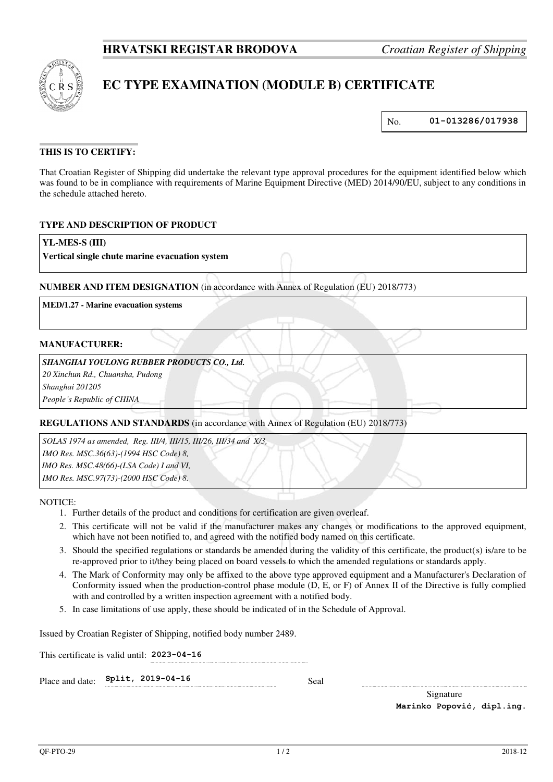

# **EC TYPE EXAMINATION (MODULE B) CERTIFICATE**

No. **01-013286/017938**

# **THIS IS TO CERTIFY:**

That Croatian Register of Shipping did undertake the relevant type approval procedures for the equipment identified below which was found to be in compliance with requirements of Marine Equipment Directive (MED) 2014/90/EU, subject to any conditions in the schedule attached hereto.

# **TYPE AND DESCRIPTION OF PRODUCT**

## **YL-MES-S (III)**

**Vertical single chute marine evacuation system**

## **NUMBER AND ITEM DESIGNATION** (in accordance with Annex of Regulation (EU) 2018/773)

**MED/1.27 - Marine evacuation systems**

#### **MANUFACTURER:**

#### *SHANGHAI YOULONG RUBBER PRODUCTS CO., Ltd.*

*20 Xinchun Rd., Chuansha, Pudong* 

*Shanghai 201205* 

*People's Republic of CHINA*

# **REGULATIONS AND STANDARDS** (in accordance with Annex of Regulation (EU) 2018/773)

*SOLAS 1974 as amended, Reg. III/4, III/15, III/26, III/34 and X/3, IMO Res. MSC.36(63)-(1994 HSC Code) 8, IMO Res. MSC.48(66)-(LSA Code) I and VI, IMO Res. MSC.97(73)-(2000 HSC Code) 8.*

NOTICE:

- 1. Further details of the product and conditions for certification are given overleaf.
- 2. This certificate will not be valid if the manufacturer makes any changes or modifications to the approved equipment, which have not been notified to, and agreed with the notified body named on this certificate.
- 3. Should the specified regulations or standards be amended during the validity of this certificate, the product(s) is/are to be re-approved prior to it/they being placed on board vessels to which the amended regulations or standards apply.
- 4. The Mark of Conformity may only be affixed to the above type approved equipment and a Manufacturer's Declaration of Conformity issued when the production-control phase module (D, E, or F) of Annex II of the Directive is fully complied with and controlled by a written inspection agreement with a notified body.
- 5. In case limitations of use apply, these should be indicated of in the Schedule of Approval.

Issued by Croatian Register of Shipping, notified body number 2489.

This certificate is valid until: **2023-04-16** 

Place and date: **Split, 2019-04-16** Seal

Signature **Marinko Popović, dipl.ing.**